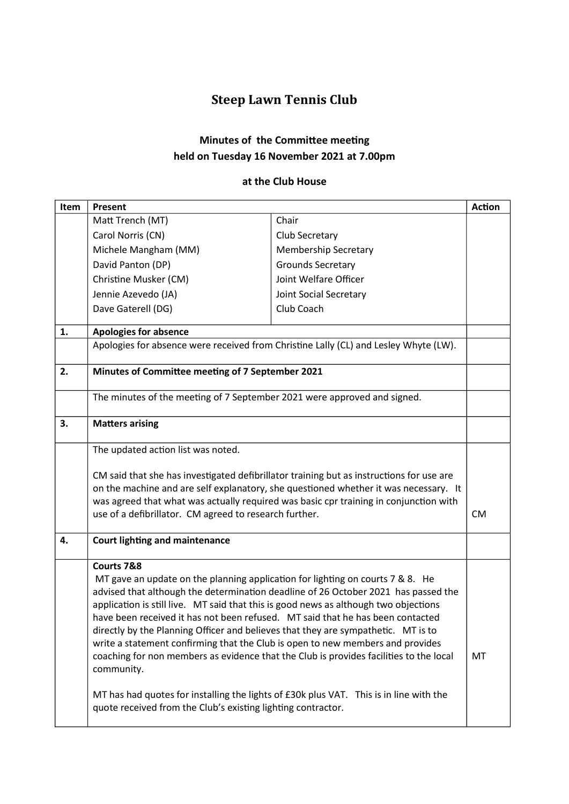## Steep Lawn Tennis Club

## Minutes of the Committee meeting held on Tuesday 16 November 2021 at 7.00pm

## at the Club House

| Item | Present                                                                                                                                                                                                                                                                                                                                                                                                                                                                                                                                                                                                                                                                                                                                                                                               |                                                                                                                                                                                                                                                                                                                                                  | <b>Action</b> |  |
|------|-------------------------------------------------------------------------------------------------------------------------------------------------------------------------------------------------------------------------------------------------------------------------------------------------------------------------------------------------------------------------------------------------------------------------------------------------------------------------------------------------------------------------------------------------------------------------------------------------------------------------------------------------------------------------------------------------------------------------------------------------------------------------------------------------------|--------------------------------------------------------------------------------------------------------------------------------------------------------------------------------------------------------------------------------------------------------------------------------------------------------------------------------------------------|---------------|--|
|      | Matt Trench (MT)                                                                                                                                                                                                                                                                                                                                                                                                                                                                                                                                                                                                                                                                                                                                                                                      | Chair                                                                                                                                                                                                                                                                                                                                            |               |  |
|      | Carol Norris (CN)                                                                                                                                                                                                                                                                                                                                                                                                                                                                                                                                                                                                                                                                                                                                                                                     | Club Secretary                                                                                                                                                                                                                                                                                                                                   |               |  |
|      | Michele Mangham (MM)                                                                                                                                                                                                                                                                                                                                                                                                                                                                                                                                                                                                                                                                                                                                                                                  | <b>Membership Secretary</b>                                                                                                                                                                                                                                                                                                                      |               |  |
|      | David Panton (DP)                                                                                                                                                                                                                                                                                                                                                                                                                                                                                                                                                                                                                                                                                                                                                                                     | <b>Grounds Secretary</b>                                                                                                                                                                                                                                                                                                                         |               |  |
|      | Christine Musker (CM)                                                                                                                                                                                                                                                                                                                                                                                                                                                                                                                                                                                                                                                                                                                                                                                 | Joint Welfare Officer                                                                                                                                                                                                                                                                                                                            |               |  |
|      | Jennie Azevedo (JA)                                                                                                                                                                                                                                                                                                                                                                                                                                                                                                                                                                                                                                                                                                                                                                                   | Joint Social Secretary                                                                                                                                                                                                                                                                                                                           |               |  |
|      | Dave Gaterell (DG)                                                                                                                                                                                                                                                                                                                                                                                                                                                                                                                                                                                                                                                                                                                                                                                    | Club Coach                                                                                                                                                                                                                                                                                                                                       |               |  |
| 1.   | <b>Apologies for absence</b>                                                                                                                                                                                                                                                                                                                                                                                                                                                                                                                                                                                                                                                                                                                                                                          |                                                                                                                                                                                                                                                                                                                                                  |               |  |
|      | Apologies for absence were received from Christine Lally (CL) and Lesley Whyte (LW).                                                                                                                                                                                                                                                                                                                                                                                                                                                                                                                                                                                                                                                                                                                  |                                                                                                                                                                                                                                                                                                                                                  |               |  |
| 2.   | Minutes of Committee meeting of 7 September 2021                                                                                                                                                                                                                                                                                                                                                                                                                                                                                                                                                                                                                                                                                                                                                      |                                                                                                                                                                                                                                                                                                                                                  |               |  |
|      | The minutes of the meeting of 7 September 2021 were approved and signed.                                                                                                                                                                                                                                                                                                                                                                                                                                                                                                                                                                                                                                                                                                                              |                                                                                                                                                                                                                                                                                                                                                  |               |  |
| 3.   | <b>Matters arising</b>                                                                                                                                                                                                                                                                                                                                                                                                                                                                                                                                                                                                                                                                                                                                                                                |                                                                                                                                                                                                                                                                                                                                                  |               |  |
|      | The updated action list was noted.                                                                                                                                                                                                                                                                                                                                                                                                                                                                                                                                                                                                                                                                                                                                                                    |                                                                                                                                                                                                                                                                                                                                                  |               |  |
|      |                                                                                                                                                                                                                                                                                                                                                                                                                                                                                                                                                                                                                                                                                                                                                                                                       | CM said that she has investigated defibrillator training but as instructions for use are<br>on the machine and are self explanatory, she questioned whether it was necessary. It<br>was agreed that what was actually required was basic cpr training in conjunction with<br>use of a defibrillator. CM agreed to research further.<br><b>CM</b> |               |  |
| 4.   | <b>Court lighting and maintenance</b>                                                                                                                                                                                                                                                                                                                                                                                                                                                                                                                                                                                                                                                                                                                                                                 |                                                                                                                                                                                                                                                                                                                                                  |               |  |
|      | Courts 7&8<br>MT gave an update on the planning application for lighting on courts 7 & 8. He<br>advised that although the determination deadline of 26 October 2021 has passed the<br>application is still live. MT said that this is good news as although two objections<br>have been received it has not been refused. MT said that he has been contacted<br>directly by the Planning Officer and believes that they are sympathetic. MT is to<br>write a statement confirming that the Club is open to new members and provides<br>coaching for non members as evidence that the Club is provides facilities to the local<br>community.<br>MT has had quotes for installing the lights of £30k plus VAT. This is in line with the<br>quote received from the Club's existing lighting contractor. |                                                                                                                                                                                                                                                                                                                                                  | MT            |  |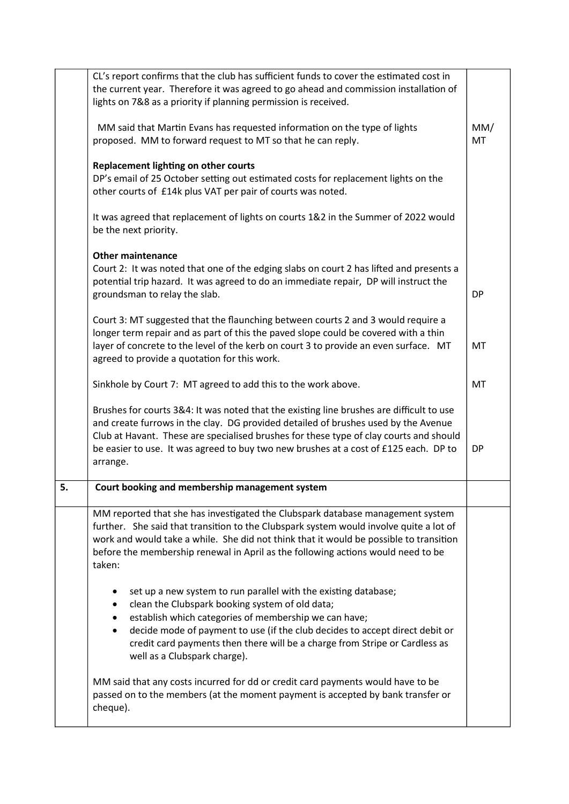|    | CL's report confirms that the club has sufficient funds to cover the estimated cost in                                                                                                                                                                                                                                                                                          |           |  |
|----|---------------------------------------------------------------------------------------------------------------------------------------------------------------------------------------------------------------------------------------------------------------------------------------------------------------------------------------------------------------------------------|-----------|--|
|    | the current year. Therefore it was agreed to go ahead and commission installation of                                                                                                                                                                                                                                                                                            |           |  |
|    | lights on 7&8 as a priority if planning permission is received.                                                                                                                                                                                                                                                                                                                 |           |  |
|    | MM said that Martin Evans has requested information on the type of lights<br>proposed. MM to forward request to MT so that he can reply.                                                                                                                                                                                                                                        |           |  |
|    | Replacement lighting on other courts                                                                                                                                                                                                                                                                                                                                            |           |  |
|    | DP's email of 25 October setting out estimated costs for replacement lights on the<br>other courts of £14k plus VAT per pair of courts was noted.                                                                                                                                                                                                                               |           |  |
|    | It was agreed that replacement of lights on courts 1&2 in the Summer of 2022 would<br>be the next priority.                                                                                                                                                                                                                                                                     |           |  |
|    | <b>Other maintenance</b>                                                                                                                                                                                                                                                                                                                                                        |           |  |
|    | Court 2: It was noted that one of the edging slabs on court 2 has lifted and presents a<br>potential trip hazard. It was agreed to do an immediate repair, DP will instruct the<br>groundsman to relay the slab.                                                                                                                                                                | <b>DP</b> |  |
|    | Court 3: MT suggested that the flaunching between courts 2 and 3 would require a<br>longer term repair and as part of this the paved slope could be covered with a thin<br>layer of concrete to the level of the kerb on court 3 to provide an even surface. MT<br>agreed to provide a quotation for this work.                                                                 | MT        |  |
|    | Sinkhole by Court 7: MT agreed to add this to the work above.                                                                                                                                                                                                                                                                                                                   | MT        |  |
|    | Brushes for courts 3&4: It was noted that the existing line brushes are difficult to use                                                                                                                                                                                                                                                                                        |           |  |
|    | and create furrows in the clay. DG provided detailed of brushes used by the Avenue                                                                                                                                                                                                                                                                                              |           |  |
|    | Club at Havant. These are specialised brushes for these type of clay courts and should                                                                                                                                                                                                                                                                                          |           |  |
|    | be easier to use. It was agreed to buy two new brushes at a cost of £125 each. DP to<br>arrange.                                                                                                                                                                                                                                                                                | DP        |  |
|    |                                                                                                                                                                                                                                                                                                                                                                                 |           |  |
| 5. | Court booking and membership management system                                                                                                                                                                                                                                                                                                                                  |           |  |
|    | MM reported that she has investigated the Clubspark database management system<br>further. She said that transition to the Clubspark system would involve quite a lot of<br>work and would take a while. She did not think that it would be possible to transition<br>before the membership renewal in April as the following actions would need to be<br>taken:                |           |  |
|    | set up a new system to run parallel with the existing database;<br>clean the Clubspark booking system of old data;<br>establish which categories of membership we can have;<br>decide mode of payment to use (if the club decides to accept direct debit or<br>٠<br>credit card payments then there will be a charge from Stripe or Cardless as<br>well as a Clubspark charge). |           |  |
|    | MM said that any costs incurred for dd or credit card payments would have to be<br>passed on to the members (at the moment payment is accepted by bank transfer or<br>cheque).                                                                                                                                                                                                  |           |  |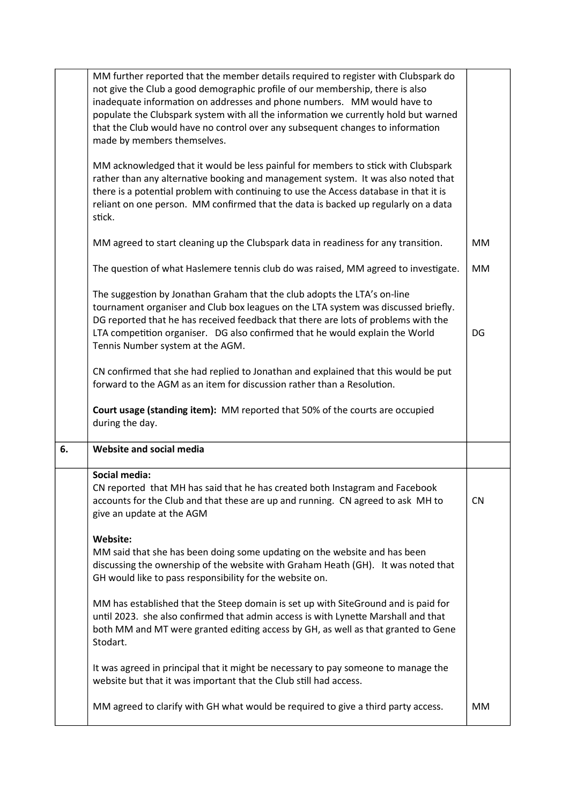|    | MM further reported that the member details required to register with Clubspark do<br>not give the Club a good demographic profile of our membership, there is also<br>inadequate information on addresses and phone numbers. MM would have to<br>populate the Clubspark system with all the information we currently hold but warned<br>that the Club would have no control over any subsequent changes to information<br>made by members themselves.<br>MM acknowledged that it would be less painful for members to stick with Clubspark<br>rather than any alternative booking and management system. It was also noted that<br>there is a potential problem with continuing to use the Access database in that it is<br>reliant on one person. MM confirmed that the data is backed up regularly on a data<br>stick. |           |  |
|----|---------------------------------------------------------------------------------------------------------------------------------------------------------------------------------------------------------------------------------------------------------------------------------------------------------------------------------------------------------------------------------------------------------------------------------------------------------------------------------------------------------------------------------------------------------------------------------------------------------------------------------------------------------------------------------------------------------------------------------------------------------------------------------------------------------------------------|-----------|--|
|    | MM agreed to start cleaning up the Clubspark data in readiness for any transition.                                                                                                                                                                                                                                                                                                                                                                                                                                                                                                                                                                                                                                                                                                                                        |           |  |
|    | The question of what Haslemere tennis club do was raised, MM agreed to investigate.                                                                                                                                                                                                                                                                                                                                                                                                                                                                                                                                                                                                                                                                                                                                       | MM        |  |
|    | The suggestion by Jonathan Graham that the club adopts the LTA's on-line<br>tournament organiser and Club box leagues on the LTA system was discussed briefly.<br>DG reported that he has received feedback that there are lots of problems with the<br>LTA competition organiser. DG also confirmed that he would explain the World<br>Tennis Number system at the AGM.                                                                                                                                                                                                                                                                                                                                                                                                                                                  | DG        |  |
|    | CN confirmed that she had replied to Jonathan and explained that this would be put<br>forward to the AGM as an item for discussion rather than a Resolution.                                                                                                                                                                                                                                                                                                                                                                                                                                                                                                                                                                                                                                                              |           |  |
|    | Court usage (standing item): MM reported that 50% of the courts are occupied                                                                                                                                                                                                                                                                                                                                                                                                                                                                                                                                                                                                                                                                                                                                              |           |  |
|    | during the day.                                                                                                                                                                                                                                                                                                                                                                                                                                                                                                                                                                                                                                                                                                                                                                                                           |           |  |
| 6. | Website and social media                                                                                                                                                                                                                                                                                                                                                                                                                                                                                                                                                                                                                                                                                                                                                                                                  |           |  |
|    | Social media:<br>CN reported that MH has said that he has created both Instagram and Facebook<br>accounts for the Club and that these are up and running. CN agreed to ask MH to<br>give an update at the AGM                                                                                                                                                                                                                                                                                                                                                                                                                                                                                                                                                                                                             | <b>CN</b> |  |
|    | Website:<br>MM said that she has been doing some updating on the website and has been<br>discussing the ownership of the website with Graham Heath (GH). It was noted that<br>GH would like to pass responsibility for the website on.                                                                                                                                                                                                                                                                                                                                                                                                                                                                                                                                                                                    |           |  |
|    | MM has established that the Steep domain is set up with SiteGround and is paid for<br>until 2023. she also confirmed that admin access is with Lynette Marshall and that<br>both MM and MT were granted editing access by GH, as well as that granted to Gene<br>Stodart.                                                                                                                                                                                                                                                                                                                                                                                                                                                                                                                                                 |           |  |
|    | It was agreed in principal that it might be necessary to pay someone to manage the<br>website but that it was important that the Club still had access.                                                                                                                                                                                                                                                                                                                                                                                                                                                                                                                                                                                                                                                                   |           |  |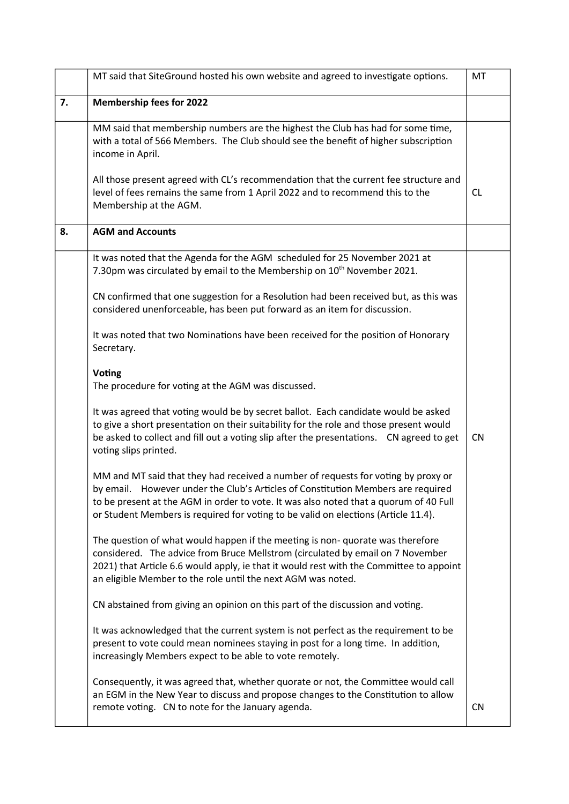|    | MT said that SiteGround hosted his own website and agreed to investigate options.                                                                                                                                                                                                                                                                    |           |  |
|----|------------------------------------------------------------------------------------------------------------------------------------------------------------------------------------------------------------------------------------------------------------------------------------------------------------------------------------------------------|-----------|--|
| 7. | <b>Membership fees for 2022</b>                                                                                                                                                                                                                                                                                                                      |           |  |
|    | MM said that membership numbers are the highest the Club has had for some time,<br>with a total of 566 Members. The Club should see the benefit of higher subscription<br>income in April.                                                                                                                                                           |           |  |
|    | All those present agreed with CL's recommendation that the current fee structure and<br>level of fees remains the same from 1 April 2022 and to recommend this to the<br>Membership at the AGM.                                                                                                                                                      | CL.       |  |
| 8. | <b>AGM and Accounts</b>                                                                                                                                                                                                                                                                                                                              |           |  |
|    | It was noted that the Agenda for the AGM scheduled for 25 November 2021 at<br>7.30pm was circulated by email to the Membership on 10 <sup>th</sup> November 2021.                                                                                                                                                                                    |           |  |
|    | CN confirmed that one suggestion for a Resolution had been received but, as this was<br>considered unenforceable, has been put forward as an item for discussion.                                                                                                                                                                                    |           |  |
|    | It was noted that two Nominations have been received for the position of Honorary<br>Secretary.                                                                                                                                                                                                                                                      |           |  |
|    | <b>Voting</b><br>The procedure for voting at the AGM was discussed.                                                                                                                                                                                                                                                                                  |           |  |
|    | It was agreed that voting would be by secret ballot. Each candidate would be asked<br>to give a short presentation on their suitability for the role and those present would<br>be asked to collect and fill out a voting slip after the presentations.  CN agreed to get<br>voting slips printed.                                                   | <b>CN</b> |  |
|    | MM and MT said that they had received a number of requests for voting by proxy or<br>by email. However under the Club's Articles of Constitution Members are required<br>to be present at the AGM in order to vote. It was also noted that a quorum of 40 Full<br>or Student Members is required for voting to be valid on elections (Article 11.4). |           |  |
|    | The question of what would happen if the meeting is non- quorate was therefore<br>considered. The advice from Bruce Mellstrom (circulated by email on 7 November<br>2021) that Article 6.6 would apply, ie that it would rest with the Committee to appoint<br>an eligible Member to the role until the next AGM was noted.                          |           |  |
|    | CN abstained from giving an opinion on this part of the discussion and voting.                                                                                                                                                                                                                                                                       |           |  |
|    | It was acknowledged that the current system is not perfect as the requirement to be<br>present to vote could mean nominees staying in post for a long time. In addition,<br>increasingly Members expect to be able to vote remotely.                                                                                                                 |           |  |
|    | Consequently, it was agreed that, whether quorate or not, the Committee would call<br>an EGM in the New Year to discuss and propose changes to the Constitution to allow<br>remote voting. CN to note for the January agenda.                                                                                                                        | CN        |  |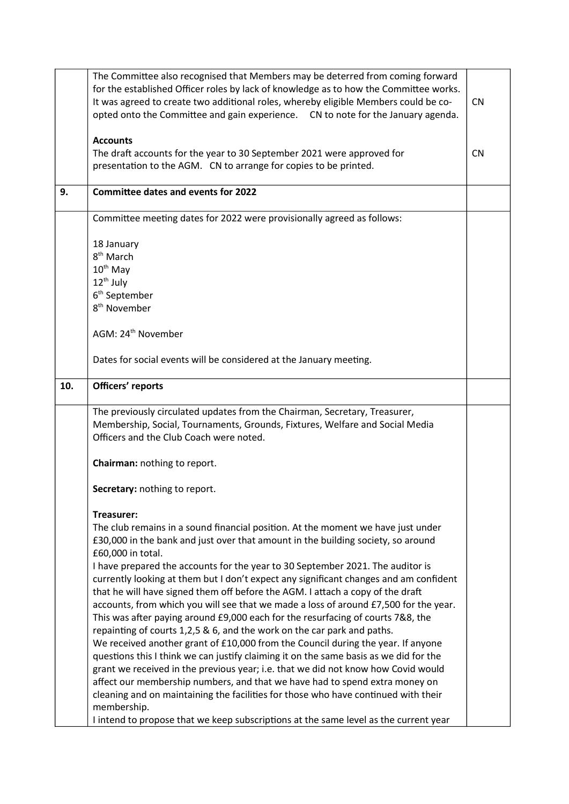|     | The Committee also recognised that Members may be deterred from coming forward<br>for the established Officer roles by lack of knowledge as to how the Committee works.<br>It was agreed to create two additional roles, whereby eligible Members could be co-<br>opted onto the Committee and gain experience. CN to note for the January agenda.                                                                                                                                                                                                                                                                                                                                                                                                                                                                                                                                                                                                                                                                                                                                                                                                                                                                                                                       |           |
|-----|--------------------------------------------------------------------------------------------------------------------------------------------------------------------------------------------------------------------------------------------------------------------------------------------------------------------------------------------------------------------------------------------------------------------------------------------------------------------------------------------------------------------------------------------------------------------------------------------------------------------------------------------------------------------------------------------------------------------------------------------------------------------------------------------------------------------------------------------------------------------------------------------------------------------------------------------------------------------------------------------------------------------------------------------------------------------------------------------------------------------------------------------------------------------------------------------------------------------------------------------------------------------------|-----------|
|     | <b>Accounts</b><br>The draft accounts for the year to 30 September 2021 were approved for<br>presentation to the AGM. CN to arrange for copies to be printed.                                                                                                                                                                                                                                                                                                                                                                                                                                                                                                                                                                                                                                                                                                                                                                                                                                                                                                                                                                                                                                                                                                            | <b>CN</b> |
| 9.  | <b>Committee dates and events for 2022</b>                                                                                                                                                                                                                                                                                                                                                                                                                                                                                                                                                                                                                                                                                                                                                                                                                                                                                                                                                                                                                                                                                                                                                                                                                               |           |
|     | Committee meeting dates for 2022 were provisionally agreed as follows:                                                                                                                                                                                                                                                                                                                                                                                                                                                                                                                                                                                                                                                                                                                                                                                                                                                                                                                                                                                                                                                                                                                                                                                                   |           |
|     | 18 January<br>8 <sup>th</sup> March<br>$10^{th}$ May<br>$12^{th}$ July<br>6 <sup>th</sup> September<br>8 <sup>th</sup> November                                                                                                                                                                                                                                                                                                                                                                                                                                                                                                                                                                                                                                                                                                                                                                                                                                                                                                                                                                                                                                                                                                                                          |           |
|     | AGM: 24 <sup>th</sup> November                                                                                                                                                                                                                                                                                                                                                                                                                                                                                                                                                                                                                                                                                                                                                                                                                                                                                                                                                                                                                                                                                                                                                                                                                                           |           |
|     | Dates for social events will be considered at the January meeting.                                                                                                                                                                                                                                                                                                                                                                                                                                                                                                                                                                                                                                                                                                                                                                                                                                                                                                                                                                                                                                                                                                                                                                                                       |           |
| 10. | Officers' reports                                                                                                                                                                                                                                                                                                                                                                                                                                                                                                                                                                                                                                                                                                                                                                                                                                                                                                                                                                                                                                                                                                                                                                                                                                                        |           |
|     | The previously circulated updates from the Chairman, Secretary, Treasurer,<br>Membership, Social, Tournaments, Grounds, Fixtures, Welfare and Social Media<br>Officers and the Club Coach were noted.                                                                                                                                                                                                                                                                                                                                                                                                                                                                                                                                                                                                                                                                                                                                                                                                                                                                                                                                                                                                                                                                    |           |
|     | Chairman: nothing to report.                                                                                                                                                                                                                                                                                                                                                                                                                                                                                                                                                                                                                                                                                                                                                                                                                                                                                                                                                                                                                                                                                                                                                                                                                                             |           |
|     | Secretary: nothing to report.                                                                                                                                                                                                                                                                                                                                                                                                                                                                                                                                                                                                                                                                                                                                                                                                                                                                                                                                                                                                                                                                                                                                                                                                                                            |           |
|     | Treasurer:<br>The club remains in a sound financial position. At the moment we have just under<br>£30,000 in the bank and just over that amount in the building society, so around<br>£60,000 in total.<br>I have prepared the accounts for the year to 30 September 2021. The auditor is<br>currently looking at them but I don't expect any significant changes and am confident<br>that he will have signed them off before the AGM. I attach a copy of the draft<br>accounts, from which you will see that we made a loss of around £7,500 for the year.<br>This was after paying around £9,000 each for the resurfacing of courts 7&8, the<br>repainting of courts 1,2,5 & 6, and the work on the car park and paths.<br>We received another grant of £10,000 from the Council during the year. If anyone<br>questions this I think we can justify claiming it on the same basis as we did for the<br>grant we received in the previous year; i.e. that we did not know how Covid would<br>affect our membership numbers, and that we have had to spend extra money on<br>cleaning and on maintaining the facilities for those who have continued with their<br>membership.<br>I intend to propose that we keep subscriptions at the same level as the current year |           |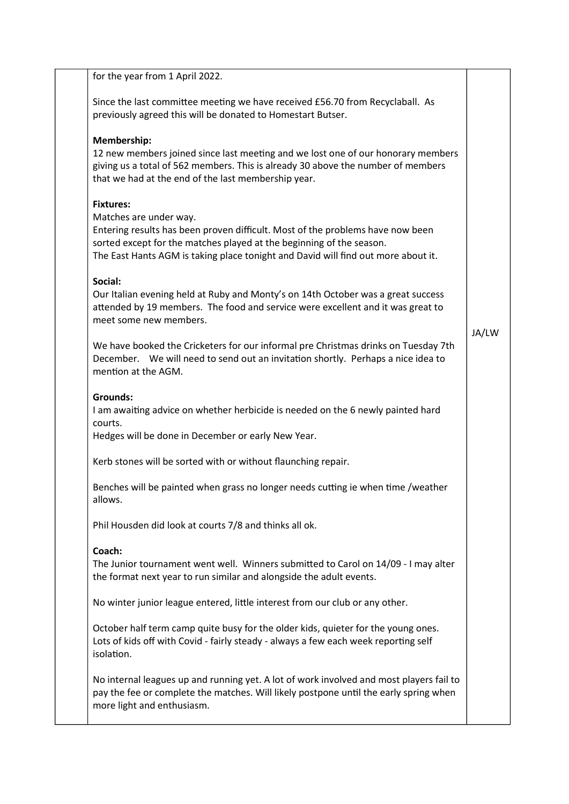| for the year from 1 April 2022.                                                                                                                                                                                                                                                           |       |
|-------------------------------------------------------------------------------------------------------------------------------------------------------------------------------------------------------------------------------------------------------------------------------------------|-------|
| Since the last committee meeting we have received £56.70 from Recyclaball. As<br>previously agreed this will be donated to Homestart Butser.                                                                                                                                              |       |
| Membership:<br>12 new members joined since last meeting and we lost one of our honorary members<br>giving us a total of 562 members. This is already 30 above the number of members<br>that we had at the end of the last membership year.                                                |       |
| <b>Fixtures:</b><br>Matches are under way.<br>Entering results has been proven difficult. Most of the problems have now been<br>sorted except for the matches played at the beginning of the season.<br>The East Hants AGM is taking place tonight and David will find out more about it. |       |
| Social:<br>Our Italian evening held at Ruby and Monty's on 14th October was a great success<br>attended by 19 members. The food and service were excellent and it was great to<br>meet some new members.                                                                                  | JA/LW |
| We have booked the Cricketers for our informal pre Christmas drinks on Tuesday 7th<br>December. We will need to send out an invitation shortly. Perhaps a nice idea to<br>mention at the AGM.                                                                                             |       |
| <b>Grounds:</b><br>I am awaiting advice on whether herbicide is needed on the 6 newly painted hard<br>courts.<br>Hedges will be done in December or early New Year.                                                                                                                       |       |
| Kerb stones will be sorted with or without flaunching repair.                                                                                                                                                                                                                             |       |
| Benches will be painted when grass no longer needs cutting ie when time /weather<br>allows.                                                                                                                                                                                               |       |
| Phil Housden did look at courts 7/8 and thinks all ok.                                                                                                                                                                                                                                    |       |
| Coach:<br>The Junior tournament went well. Winners submitted to Carol on 14/09 - I may alter<br>the format next year to run similar and alongside the adult events.                                                                                                                       |       |
| No winter junior league entered, little interest from our club or any other.                                                                                                                                                                                                              |       |
| October half term camp quite busy for the older kids, quieter for the young ones.<br>Lots of kids off with Covid - fairly steady - always a few each week reporting self<br>isolation.                                                                                                    |       |
| No internal leagues up and running yet. A lot of work involved and most players fail to<br>pay the fee or complete the matches. Will likely postpone until the early spring when<br>more light and enthusiasm.                                                                            |       |